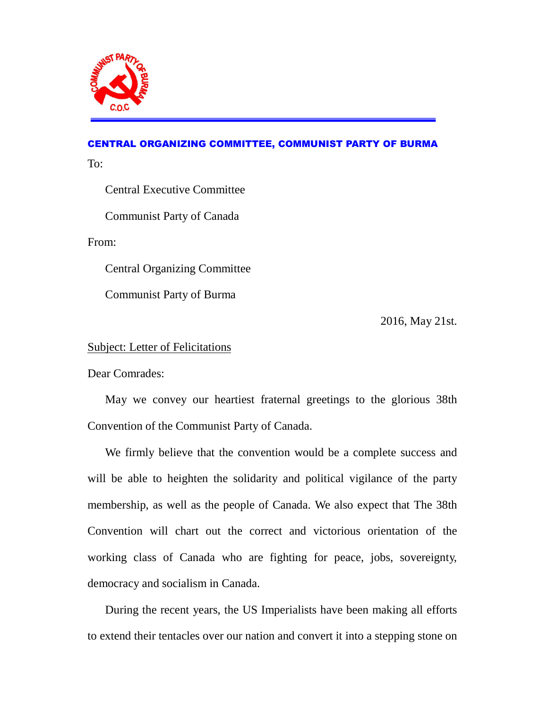

## CENTRAL ORGANIZING COMMITTEE, COMMUNIST PARTY OF BURMA

To:

Central Executive Committee

Communist Party of Canada

From:

Central Organizing Committee

Communist Party of Burma

2016, May 21st.

## Subject: Letter of Felicitations

Dear Comrades:

 May we convey our heartiest fraternal greetings to the glorious 38th Convention of the Communist Party of Canada.

 We firmly believe that the convention would be a complete success and will be able to heighten the solidarity and political vigilance of the party membership, as well as the people of Canada. We also expect that The 38th Convention will chart out the correct and victorious orientation of the working class of Canada who are fighting for peace, jobs, sovereignty, democracy and socialism in Canada.

 During the recent years, the US Imperialists have been making all efforts to extend their tentacles over our nation and convert it into a stepping stone on